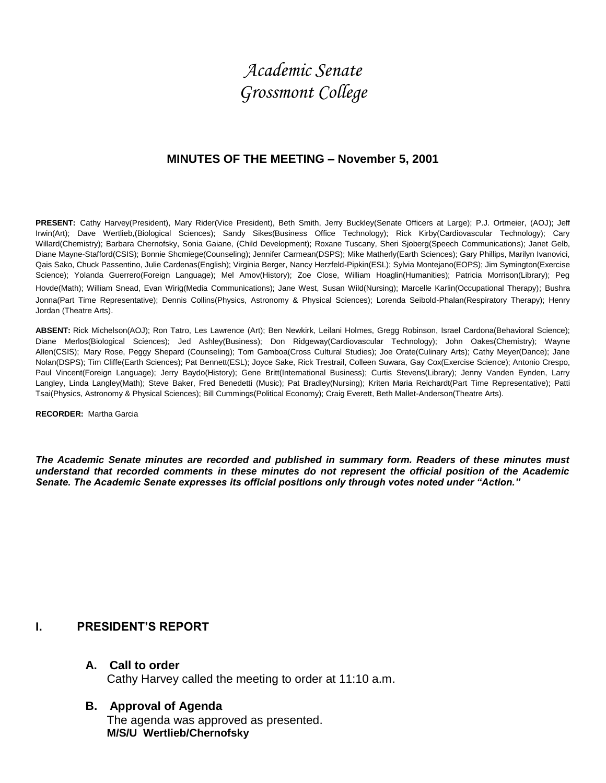# *Academic Senate Grossmont College*

# **MINUTES OF THE MEETING – November 5, 2001**

PRESENT: Cathy Harvey(President), Mary Rider(Vice President), Beth Smith, Jerry Buckley(Senate Officers at Large); P.J. Ortmeier, (AOJ); Jeff Irwin(Art); Dave Wertlieb,(Biological Sciences); Sandy Sikes(Business Office Technology); Rick Kirby(Cardiovascular Technology); Cary Willard(Chemistry); Barbara Chernofsky, Sonia Gaiane, (Child Development); Roxane Tuscany, Sheri Sjoberg(Speech Communications); Janet Gelb, Diane Mayne-Stafford(CSIS); Bonnie Shcmiege(Counseling); Jennifer Carmean(DSPS); Mike Matherly(Earth Sciences); Gary Phillips, Marilyn Ivanovici, Qais Sako, Chuck Passentino, Julie Cardenas(English); Virginia Berger, Nancy Herzfeld-Pipkin(ESL); Sylvia Montejano(EOPS); Jim Symington(Exercise Science); Yolanda Guerrero(Foreign Language); Mel Amov(History); Zoe Close, William Hoaglin(Humanities); Patricia Morrison(Library); Peg Hovde(Math); William Snead, Evan Wirig(Media Communications); Jane West, Susan Wild(Nursing); Marcelle Karlin(Occupational Therapy); Bushra Jonna(Part Time Representative); Dennis Collins(Physics, Astronomy & Physical Sciences); Lorenda Seibold-Phalan(Respiratory Therapy); Henry Jordan (Theatre Arts).

**ABSENT:** Rick Michelson(AOJ); Ron Tatro, Les Lawrence (Art); Ben Newkirk, Leilani Holmes, Gregg Robinson, Israel Cardona(Behavioral Science); Diane Merlos(Biological Sciences); Jed Ashley(Business); Don Ridgeway(Cardiovascular Technology); John Oakes(Chemistry); Wayne Allen(CSIS); Mary Rose, Peggy Shepard (Counseling); Tom Gamboa(Cross Cultural Studies); Joe Orate(Culinary Arts); Cathy Meyer(Dance); Jane Nolan(DSPS); Tim Cliffe(Earth Sciences); Pat Bennett(ESL); Joyce Sake, Rick Trestrail, Colleen Suwara, Gay Cox(Exercise Science); Antonio Crespo, Paul Vincent(Foreign Language); Jerry Baydo(History); Gene Britt(International Business); Curtis Stevens(Library); Jenny Vanden Eynden, Larry Langley, Linda Langley(Math); Steve Baker, Fred Benedetti (Music); Pat Bradley(Nursing); Kriten Maria Reichardt(Part Time Representative); Patti Tsai(Physics, Astronomy & Physical Sciences); Bill Cummings(Political Economy); Craig Everett, Beth Mallet-Anderson(Theatre Arts).

**RECORDER:** Martha Garcia

*The Academic Senate minutes are recorded and published in summary form. Readers of these minutes must understand that recorded comments in these minutes do not represent the official position of the Academic Senate. The Academic Senate expresses its official positions only through votes noted under "Action."*

#### **I. PRESIDENT'S REPORT**

#### **A. Call to order**

Cathy Harvey called the meeting to order at 11:10 a.m.

#### **B. Approval of Agenda**

The agenda was approved as presented. **M/S/U Wertlieb/Chernofsky**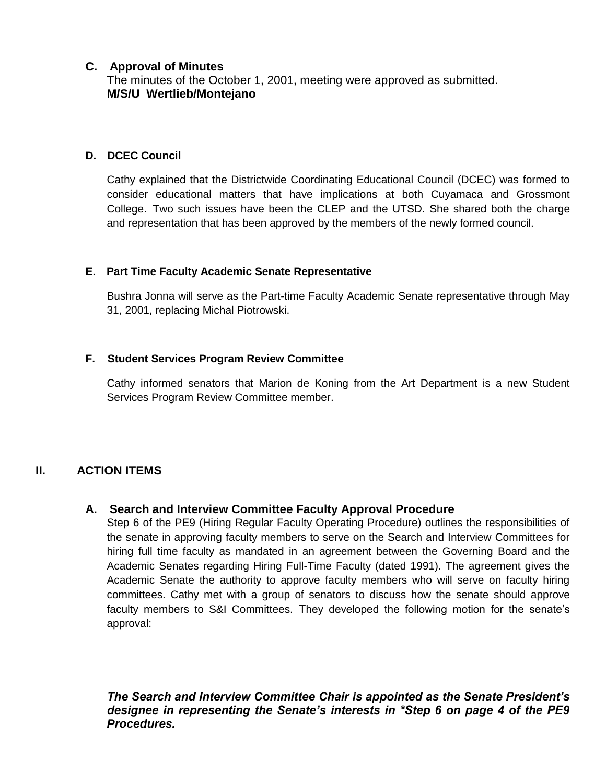# **C. Approval of Minutes**

The minutes of the October 1, 2001, meeting were approved as submitted. **M/S/U Wertlieb/Montejano**

# **D. DCEC Council**

Cathy explained that the Districtwide Coordinating Educational Council (DCEC) was formed to consider educational matters that have implications at both Cuyamaca and Grossmont College. Two such issues have been the CLEP and the UTSD. She shared both the charge and representation that has been approved by the members of the newly formed council.

## **E. Part Time Faculty Academic Senate Representative**

Bushra Jonna will serve as the Part-time Faculty Academic Senate representative through May 31, 2001, replacing Michal Piotrowski.

## **F. Student Services Program Review Committee**

Cathy informed senators that Marion de Koning from the Art Department is a new Student Services Program Review Committee member.

# **II. ACTION ITEMS**

# **A. Search and Interview Committee Faculty Approval Procedure**

Step 6 of the PE9 (Hiring Regular Faculty Operating Procedure) outlines the responsibilities of the senate in approving faculty members to serve on the Search and Interview Committees for hiring full time faculty as mandated in an agreement between the Governing Board and the Academic Senates regarding Hiring Full-Time Faculty (dated 1991). The agreement gives the Academic Senate the authority to approve faculty members who will serve on faculty hiring committees. Cathy met with a group of senators to discuss how the senate should approve faculty members to S&I Committees. They developed the following motion for the senate's approval:

*The Search and Interview Committee Chair is appointed as the Senate President's designee in representing the Senate's interests in \*Step 6 on page 4 of the PE9 Procedures.*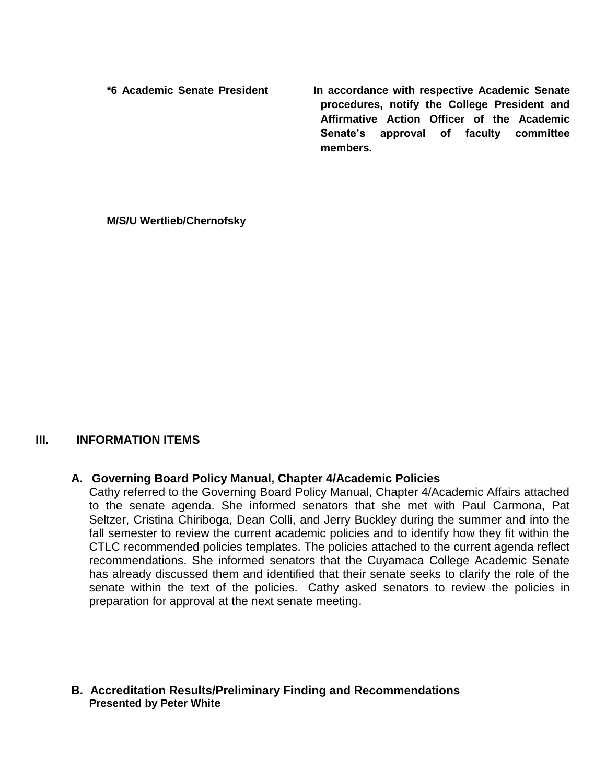**\*6 Academic Senate President In accordance with respective Academic Senate procedures, notify the College President and Affirmative Action Officer of the Academic Senate's approval of faculty committee members.**

 **M/S/U Wertlieb/Chernofsky**

# **III. INFORMATION ITEMS**

#### **A. Governing Board Policy Manual, Chapter 4/Academic Policies**

Cathy referred to the Governing Board Policy Manual, Chapter 4/Academic Affairs attached to the senate agenda. She informed senators that she met with Paul Carmona, Pat Seltzer, Cristina Chiriboga, Dean Colli, and Jerry Buckley during the summer and into the fall semester to review the current academic policies and to identify how they fit within the CTLC recommended policies templates. The policies attached to the current agenda reflect recommendations. She informed senators that the Cuyamaca College Academic Senate has already discussed them and identified that their senate seeks to clarify the role of the senate within the text of the policies. Cathy asked senators to review the policies in preparation for approval at the next senate meeting.

#### **B. Accreditation Results/Preliminary Finding and Recommendations Presented by Peter White**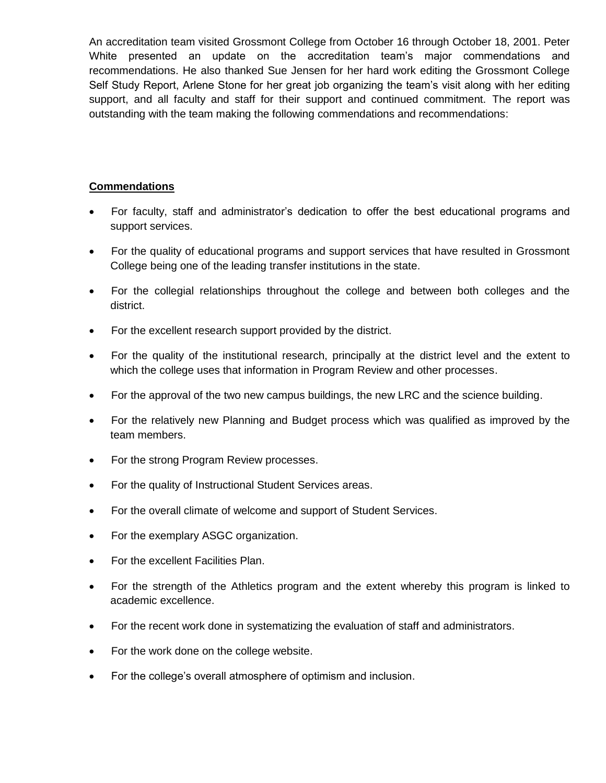An accreditation team visited Grossmont College from October 16 through October 18, 2001. Peter White presented an update on the accreditation team's major commendations and recommendations. He also thanked Sue Jensen for her hard work editing the Grossmont College Self Study Report, Arlene Stone for her great job organizing the team's visit along with her editing support, and all faculty and staff for their support and continued commitment. The report was outstanding with the team making the following commendations and recommendations:

# **Commendations**

- For faculty, staff and administrator's dedication to offer the best educational programs and support services.
- For the quality of educational programs and support services that have resulted in Grossmont College being one of the leading transfer institutions in the state.
- For the collegial relationships throughout the college and between both colleges and the district.
- For the excellent research support provided by the district.
- For the quality of the institutional research, principally at the district level and the extent to which the college uses that information in Program Review and other processes.
- For the approval of the two new campus buildings, the new LRC and the science building.
- For the relatively new Planning and Budget process which was qualified as improved by the team members.
- For the strong Program Review processes.
- For the quality of Instructional Student Services areas.
- For the overall climate of welcome and support of Student Services.
- For the exemplary ASGC organization.
- For the excellent Facilities Plan.
- For the strength of the Athletics program and the extent whereby this program is linked to academic excellence.
- For the recent work done in systematizing the evaluation of staff and administrators.
- For the work done on the college website.
- For the college's overall atmosphere of optimism and inclusion.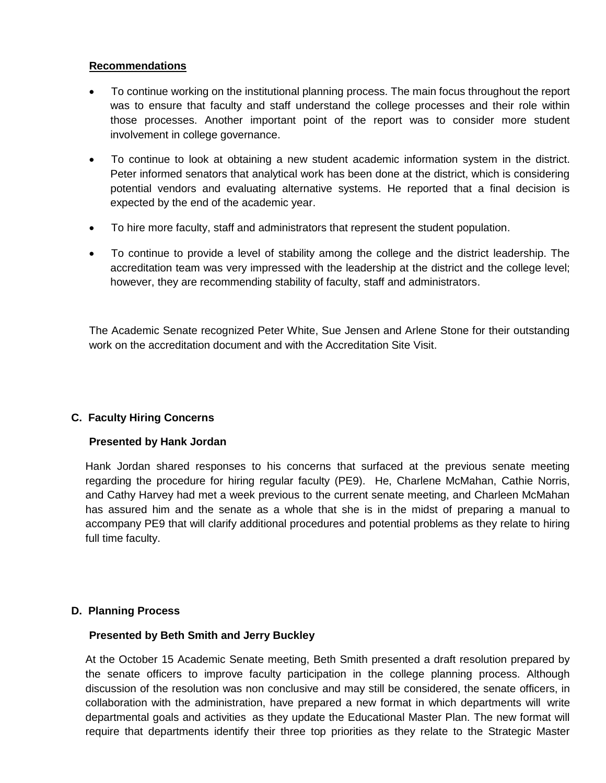#### **Recommendations**

- To continue working on the institutional planning process. The main focus throughout the report was to ensure that faculty and staff understand the college processes and their role within those processes. Another important point of the report was to consider more student involvement in college governance.
- To continue to look at obtaining a new student academic information system in the district. Peter informed senators that analytical work has been done at the district, which is considering potential vendors and evaluating alternative systems. He reported that a final decision is expected by the end of the academic year.
- To hire more faculty, staff and administrators that represent the student population.
- To continue to provide a level of stability among the college and the district leadership. The accreditation team was very impressed with the leadership at the district and the college level; however, they are recommending stability of faculty, staff and administrators.

The Academic Senate recognized Peter White, Sue Jensen and Arlene Stone for their outstanding work on the accreditation document and with the Accreditation Site Visit.

#### **C. Faculty Hiring Concerns**

#### **Presented by Hank Jordan**

Hank Jordan shared responses to his concerns that surfaced at the previous senate meeting regarding the procedure for hiring regular faculty (PE9). He, Charlene McMahan, Cathie Norris, and Cathy Harvey had met a week previous to the current senate meeting, and Charleen McMahan has assured him and the senate as a whole that she is in the midst of preparing a manual to accompany PE9 that will clarify additional procedures and potential problems as they relate to hiring full time faculty.

#### **D. Planning Process**

#### **Presented by Beth Smith and Jerry Buckley**

At the October 15 Academic Senate meeting, Beth Smith presented a draft resolution prepared by the senate officers to improve faculty participation in the college planning process. Although discussion of the resolution was non conclusive and may still be considered, the senate officers, in collaboration with the administration, have prepared a new format in which departments will write departmental goals and activities as they update the Educational Master Plan. The new format will require that departments identify their three top priorities as they relate to the Strategic Master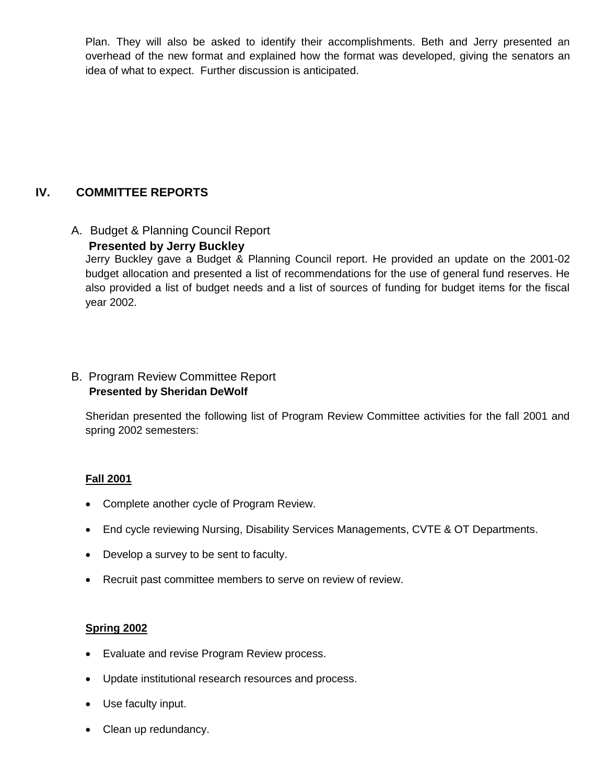Plan. They will also be asked to identify their accomplishments. Beth and Jerry presented an overhead of the new format and explained how the format was developed, giving the senators an idea of what to expect. Further discussion is anticipated.

# **IV. COMMITTEE REPORTS**

# A.Budget & Planning Council Report **Presented by Jerry Buckley**

Jerry Buckley gave a Budget & Planning Council report. He provided an update on the 2001-02 budget allocation and presented a list of recommendations for the use of general fund reserves. He also provided a list of budget needs and a list of sources of funding for budget items for the fiscal year 2002.

# B.Program Review Committee Report **Presented by Sheridan DeWolf**

Sheridan presented the following list of Program Review Committee activities for the fall 2001 and spring 2002 semesters:

# **Fall 2001**

- Complete another cycle of Program Review.
- End cycle reviewing Nursing, Disability Services Managements, CVTE & OT Departments.
- Develop a survey to be sent to faculty.
- Recruit past committee members to serve on review of review.

# **Spring 2002**

- Evaluate and revise Program Review process.
- Update institutional research resources and process.
- Use faculty input.
- Clean up redundancy.